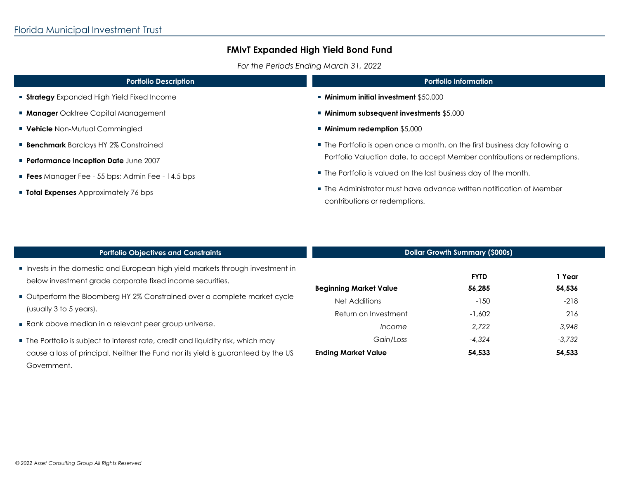*For the Periods Ending March 31, 2022*

| <b>Portfolio Description</b>                           | <b>Portfolio Information</b>                                                |  |  |
|--------------------------------------------------------|-----------------------------------------------------------------------------|--|--|
| <b>Strategy</b> Expanded High Yield Fixed Income       | $\blacksquare$ Minimum initial investment \$50,000                          |  |  |
| <b>Manager</b> Oaktree Capital Management              | ■ Minimum subsequent investments \$5,000                                    |  |  |
| <b>Vehicle</b> Non-Mutual Commingled                   | ■ Minimum redemption \$5,000                                                |  |  |
| <b>Benchmark</b> Barclays HY 2% Constrained            | • The Portfolio is open once a month, on the first business day following a |  |  |
| <b>Performance Inception Date June 2007</b>            | Portfolio Valuation date, to accept Member contributions or redemptions.    |  |  |
| <b>Fees</b> Manager Fee - 55 bps; Admin Fee - 14.5 bps | ■ The Portfolio is valued on the last business day of the month.            |  |  |
| <b>Total Expenses</b> Approximately 76 bps             | ■ The Administrator must have advance written notification of Member        |  |  |
|                                                        | contributions or redemptions.                                               |  |  |
|                                                        |                                                                             |  |  |
|                                                        |                                                                             |  |  |

| <b>Portfolio Objectives and Constraints</b>                                                                                                | <b>Dollar Growth Summary (\$000s)</b> |                       |                  |
|--------------------------------------------------------------------------------------------------------------------------------------------|---------------------------------------|-----------------------|------------------|
| Invests in the domestic and European high yield markets through investment in<br>below investment grade corporate fixed income securities. | <b>Beginning Market Value</b>         | <b>FYTD</b><br>56,285 | 1 Year<br>54,536 |
| Outperform the Bloomberg HY 2% Constrained over a complete market cycle<br>(usually 3 to 5 years).                                         | Net Additions<br>Return on Investment | $-150$<br>$-1.602$    | $-218$<br>216    |
| Rank above median in a relevant peer group universe.                                                                                       | Income                                | 2.722                 | 3,948            |
| ■ The Portfolio is subject to interest rate, credit and liquidity risk, which may                                                          | Gain/Loss                             | $-4.324$              | $-3.732$         |
| cause a loss of principal. Neither the Fund nor its yield is guaranteed by the US<br>Government.                                           | <b>Ending Market Value</b>            | 54.533                | 54.533           |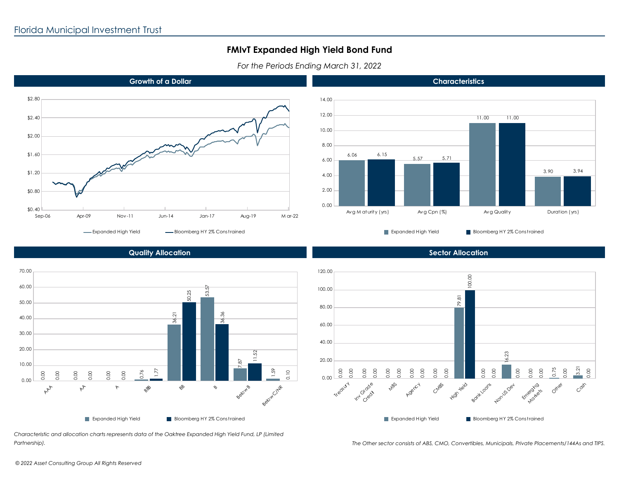*For the Periods Ending March 31, 2022*





**Characteristics**



**Quality Allocation**

*Characteristic and allocation charts represents data of the Oaktree Expanded High Yield Fund, LP (Limited Partnership).*

**Sector Allocation**



*The Other sector consists of ABS, CMO, Convertibles, Municipals, Private Placements/144As and TIPS.*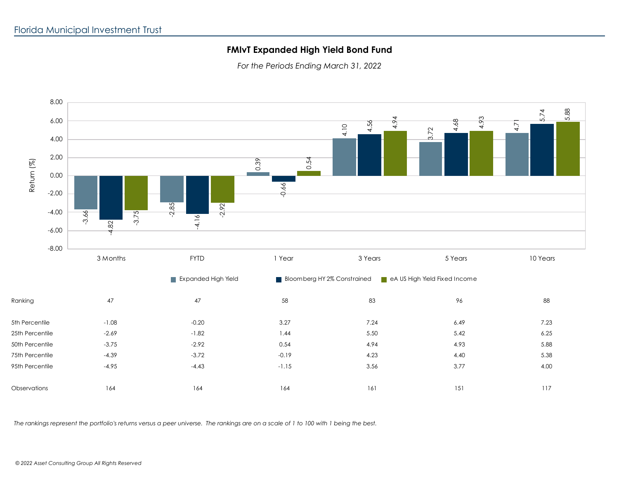*For the Periods Ending March 31, 2022*



*The rankings represent the portfolio's returns versus a peer universe. The rankings are on a scale of 1 to 100 with 1 being the best.*